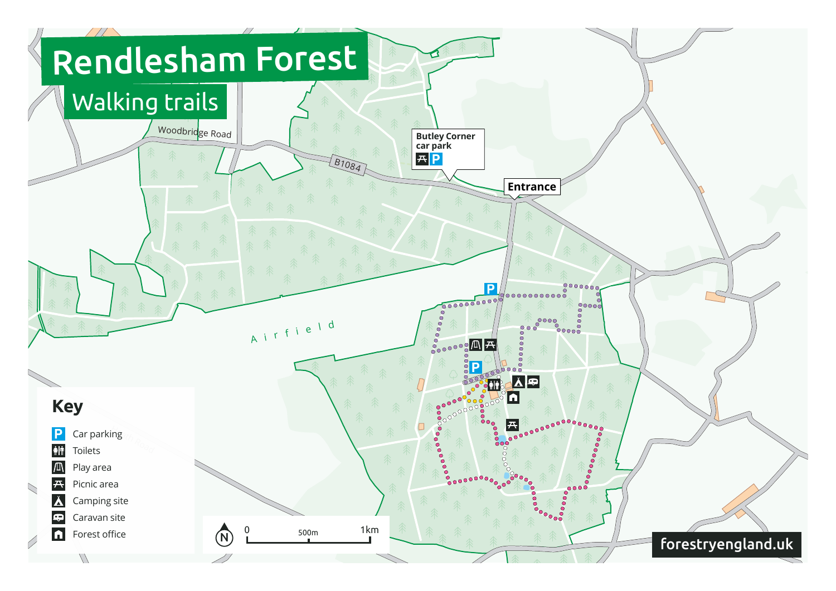